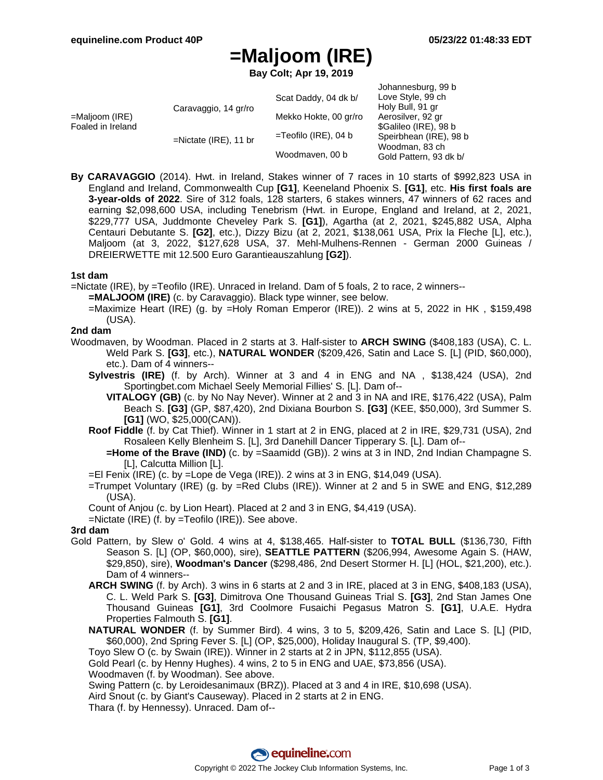# **=Maljoom (IRE)**

**Bay Colt; Apr 19, 2019**

|                                     |                          |                         | Johannesburg, 99 b     |
|-------------------------------------|--------------------------|-------------------------|------------------------|
| =Maljoom (IRE)<br>Foaled in Ireland | Caravaggio, 14 gr/ro     | Scat Daddy, 04 dk b/    | Love Style, 99 ch      |
|                                     |                          |                         | Holy Bull, 91 gr       |
|                                     |                          | Mekko Hokte, 00 gr/ro   | Aerosilver, 92 gr      |
|                                     |                          | $=$ Teofilo (IRE), 04 b | \$Galileo (IRE), 98 b  |
|                                     | $=$ Nictate (IRE), 11 br |                         | Speirbhean (IRE), 98 b |
|                                     |                          | Woodmaven, 00 b         | Woodman, 83 ch         |
|                                     |                          |                         | Gold Pattern, 93 dk b/ |

**By CARAVAGGIO** (2014). Hwt. in Ireland, Stakes winner of 7 races in 10 starts of \$992,823 USA in England and Ireland, Commonwealth Cup **[G1]**, Keeneland Phoenix S. **[G1]**, etc. **His first foals are 3-year-olds of 2022**. Sire of 312 foals, 128 starters, 6 stakes winners, 47 winners of 62 races and earning \$2,098,600 USA, including Tenebrism (Hwt. in Europe, England and Ireland, at 2, 2021, \$229,777 USA, Juddmonte Cheveley Park S. **[G1]**), Agartha (at 2, 2021, \$245,882 USA, Alpha Centauri Debutante S. **[G2]**, etc.), Dizzy Bizu (at 2, 2021, \$138,061 USA, Prix la Fleche [L], etc.), Maljoom (at 3, 2022, \$127,628 USA, 37. Mehl-Mulhens-Rennen - German 2000 Guineas / DREIERWETTE mit 12.500 Euro Garantieauszahlung **[G2]**).

#### **1st dam**

=Nictate (IRE), by =Teofilo (IRE). Unraced in Ireland. Dam of 5 foals, 2 to race, 2 winners--

- **=MALJOOM (IRE)** (c. by Caravaggio). Black type winner, see below.
- =Maximize Heart (IRE) (g. by =Holy Roman Emperor (IRE)). 2 wins at 5, 2022 in HK , \$159,498 (USA).

#### **2nd dam**

- Woodmaven, by Woodman. Placed in 2 starts at 3. Half-sister to **ARCH SWING** (\$408,183 (USA), C. L. Weld Park S. **[G3]**, etc.), **NATURAL WONDER** (\$209,426, Satin and Lace S. [L] (PID, \$60,000), etc.). Dam of 4 winners--
	- **Sylvestris (IRE)** (f. by Arch). Winner at 3 and 4 in ENG and NA , \$138,424 (USA), 2nd Sportingbet.com Michael Seely Memorial Fillies' S. [L]. Dam of--
		- **VITALOGY (GB)** (c. by No Nay Never). Winner at 2 and 3 in NA and IRE, \$176,422 (USA), Palm Beach S. **[G3]** (GP, \$87,420), 2nd Dixiana Bourbon S. **[G3]** (KEE, \$50,000), 3rd Summer S. **[G1]** (WO, \$25,000(CAN)).
	- **Roof Fiddle** (f. by Cat Thief). Winner in 1 start at 2 in ENG, placed at 2 in IRE, \$29,731 (USA), 2nd Rosaleen Kelly Blenheim S. [L], 3rd Danehill Dancer Tipperary S. [L]. Dam of--
		- **=Home of the Brave (IND)** (c. by =Saamidd (GB)). 2 wins at 3 in IND, 2nd Indian Champagne S. [L], Calcutta Million [L].
	- =El Fenix (IRE) (c. by =Lope de Vega (IRE)). 2 wins at 3 in ENG, \$14,049 (USA).
	- =Trumpet Voluntary (IRE) (g. by =Red Clubs (IRE)). Winner at 2 and 5 in SWE and ENG, \$12,289 (USA).

Count of Anjou (c. by Lion Heart). Placed at 2 and 3 in ENG, \$4,419 (USA).

=Nictate (IRE) (f. by =Teofilo (IRE)). See above.

#### **3rd dam**

- Gold Pattern, by Slew o' Gold. 4 wins at 4, \$138,465. Half-sister to **TOTAL BULL** (\$136,730, Fifth Season S. [L] (OP, \$60,000), sire), **SEATTLE PATTERN** (\$206,994, Awesome Again S. (HAW, \$29,850), sire), **Woodman's Dancer** (\$298,486, 2nd Desert Stormer H. [L] (HOL, \$21,200), etc.). Dam of 4 winners--
	- **ARCH SWING** (f. by Arch). 3 wins in 6 starts at 2 and 3 in IRE, placed at 3 in ENG, \$408,183 (USA), C. L. Weld Park S. **[G3]**, Dimitrova One Thousand Guineas Trial S. **[G3]**, 2nd Stan James One Thousand Guineas **[G1]**, 3rd Coolmore Fusaichi Pegasus Matron S. **[G1]**, U.A.E. Hydra Properties Falmouth S. **[G1]**.
	- **NATURAL WONDER** (f. by Summer Bird). 4 wins, 3 to 5, \$209,426, Satin and Lace S. [L] (PID, \$60,000), 2nd Spring Fever S. [L] (OP, \$25,000), Holiday Inaugural S. (TP, \$9,400).
	- Toyo Slew O (c. by Swain (IRE)). Winner in 2 starts at 2 in JPN, \$112,855 (USA).
	- Gold Pearl (c. by Henny Hughes). 4 wins, 2 to 5 in ENG and UAE, \$73,856 (USA).

Woodmaven (f. by Woodman). See above.

Swing Pattern (c. by Leroidesanimaux (BRZ)). Placed at 3 and 4 in IRE, \$10,698 (USA).

Aird Snout (c. by Giant's Causeway). Placed in 2 starts at 2 in ENG.

Thara (f. by Hennessy). Unraced. Dam of--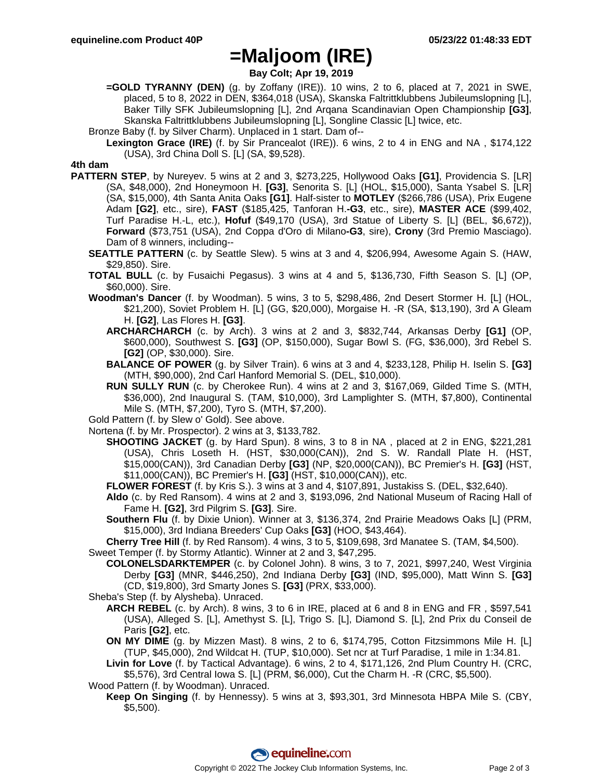### **=Maljoom (IRE)**

**Bay Colt; Apr 19, 2019**

**=GOLD TYRANNY (DEN)** (g. by Zoffany (IRE)). 10 wins, 2 to 6, placed at 7, 2021 in SWE, placed, 5 to 8, 2022 in DEN, \$364,018 (USA), Skanska Faltrittklubbens Jubileumslopning [L], Baker Tilly SFK Jubileumslopning [L], 2nd Arqana Scandinavian Open Championship **[G3]**, Skanska Faltrittklubbens Jubileumslopning [L], Songline Classic [L] twice, etc.

Bronze Baby (f. by Silver Charm). Unplaced in 1 start. Dam of--

**Lexington Grace (IRE)** (f. by Sir Prancealot (IRE)). 6 wins, 2 to 4 in ENG and NA , \$174,122 (USA), 3rd China Doll S. [L] (SA, \$9,528).

#### **4th dam**

- **PATTERN STEP**, by Nureyev. 5 wins at 2 and 3, \$273,225, Hollywood Oaks **[G1]**, Providencia S. [LR] (SA, \$48,000), 2nd Honeymoon H. **[G3]**, Senorita S. [L] (HOL, \$15,000), Santa Ysabel S. [LR] (SA, \$15,000), 4th Santa Anita Oaks **[G1]**. Half-sister to **MOTLEY** (\$266,786 (USA), Prix Eugene Adam **[G2]**, etc., sire), **FAST** (\$185,425, Tanforan H.**-G3**, etc., sire), **MASTER ACE** (\$99,402, Turf Paradise H.-L, etc.), **Hofuf** (\$49,170 (USA), 3rd Statue of Liberty S. [L] (BEL, \$6,672)), **Forward** (\$73,751 (USA), 2nd Coppa d'Oro di Milano**-G3**, sire), **Crony** (3rd Premio Masciago). Dam of 8 winners, including--
	- **SEATTLE PATTERN** (c. by Seattle Slew). 5 wins at 3 and 4, \$206,994, Awesome Again S. (HAW, \$29,850). Sire.
	- **TOTAL BULL** (c. by Fusaichi Pegasus). 3 wins at 4 and 5, \$136,730, Fifth Season S. [L] (OP, \$60,000). Sire.
	- **Woodman's Dancer** (f. by Woodman). 5 wins, 3 to 5, \$298,486, 2nd Desert Stormer H. [L] (HOL, \$21,200), Soviet Problem H. [L] (GG, \$20,000), Morgaise H. -R (SA, \$13,190), 3rd A Gleam H. **[G2]**, Las Flores H. **[G3]**.
		- **ARCHARCHARCH** (c. by Arch). 3 wins at 2 and 3, \$832,744, Arkansas Derby **[G1]** (OP, \$600,000), Southwest S. **[G3]** (OP, \$150,000), Sugar Bowl S. (FG, \$36,000), 3rd Rebel S. **[G2]** (OP, \$30,000). Sire.
		- **BALANCE OF POWER** (g. by Silver Train). 6 wins at 3 and 4, \$233,128, Philip H. Iselin S. **[G3]** (MTH, \$90,000), 2nd Carl Hanford Memorial S. (DEL, \$10,000).
		- **RUN SULLY RUN** (c. by Cherokee Run). 4 wins at 2 and 3, \$167,069, Gilded Time S. (MTH, \$36,000), 2nd Inaugural S. (TAM, \$10,000), 3rd Lamplighter S. (MTH, \$7,800), Continental Mile S. (MTH, \$7,200), Tyro S. (MTH, \$7,200).

Gold Pattern (f. by Slew o' Gold). See above.

- Nortena (f. by Mr. Prospector). 2 wins at 3, \$133,782.
	- **SHOOTING JACKET** (g. by Hard Spun). 8 wins, 3 to 8 in NA , placed at 2 in ENG, \$221,281 (USA), Chris Loseth H. (HST, \$30,000(CAN)), 2nd S. W. Randall Plate H. (HST, \$15,000(CAN)), 3rd Canadian Derby **[G3]** (NP, \$20,000(CAN)), BC Premier's H. **[G3]** (HST, \$11,000(CAN)), BC Premier's H. **[G3]** (HST, \$10,000(CAN)), etc.
	- **FLOWER FOREST** (f. by Kris S.). 3 wins at 3 and 4, \$107,891, Justakiss S. (DEL, \$32,640).
	- **Aldo** (c. by Red Ransom). 4 wins at 2 and 3, \$193,096, 2nd National Museum of Racing Hall of Fame H. **[G2]**, 3rd Pilgrim S. **[G3]**. Sire.
	- **Southern Flu** (f. by Dixie Union). Winner at 3, \$136,374, 2nd Prairie Meadows Oaks [L] (PRM, \$15,000), 3rd Indiana Breeders' Cup Oaks **[G3]** (HOO, \$43,464).

**Cherry Tree Hill** (f. by Red Ransom). 4 wins, 3 to 5, \$109,698, 3rd Manatee S. (TAM, \$4,500). Sweet Temper (f. by Stormy Atlantic). Winner at 2 and 3, \$47,295.

- **COLONELSDARKTEMPER** (c. by Colonel John). 8 wins, 3 to 7, 2021, \$997,240, West Virginia Derby **[G3]** (MNR, \$446,250), 2nd Indiana Derby **[G3]** (IND, \$95,000), Matt Winn S. **[G3]** (CD, \$19,800), 3rd Smarty Jones S. **[G3]** (PRX, \$33,000).
- Sheba's Step (f. by Alysheba). Unraced.
	- **ARCH REBEL** (c. by Arch). 8 wins, 3 to 6 in IRE, placed at 6 and 8 in ENG and FR , \$597,541 (USA), Alleged S. [L], Amethyst S. [L], Trigo S. [L], Diamond S. [L], 2nd Prix du Conseil de Paris **[G2]**, etc.
	- **ON MY DIME** (g. by Mizzen Mast). 8 wins, 2 to 6, \$174,795, Cotton Fitzsimmons Mile H. [L] (TUP, \$45,000), 2nd Wildcat H. (TUP, \$10,000). Set ncr at Turf Paradise, 1 mile in 1:34.81.

**Livin for Love** (f. by Tactical Advantage). 6 wins, 2 to 4, \$171,126, 2nd Plum Country H. (CRC, \$5,576), 3rd Central Iowa S. [L] (PRM, \$6,000), Cut the Charm H. -R (CRC, \$5,500).

Wood Pattern (f. by Woodman). Unraced.

**Keep On Singing** (f. by Hennessy). 5 wins at 3, \$93,301, 3rd Minnesota HBPA Mile S. (CBY, \$5,500).